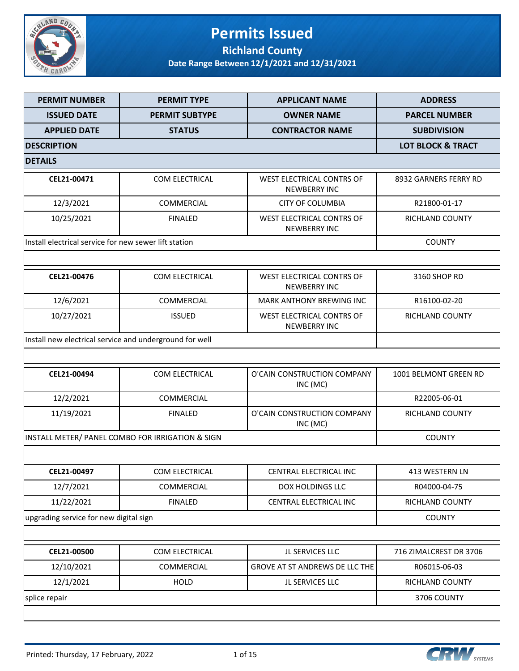

## **Permits Issued Richland County**

| <b>PERMIT NUMBER</b>                                    | <b>PERMIT TYPE</b>                               | <b>APPLICANT NAME</b>                                   | <b>ADDRESS</b>               |
|---------------------------------------------------------|--------------------------------------------------|---------------------------------------------------------|------------------------------|
| <b>ISSUED DATE</b>                                      | <b>PERMIT SUBTYPE</b>                            | <b>OWNER NAME</b>                                       | <b>PARCEL NUMBER</b>         |
| <b>APPLIED DATE</b>                                     | <b>STATUS</b>                                    | <b>CONTRACTOR NAME</b>                                  | <b>SUBDIVISION</b>           |
| <b>DESCRIPTION</b>                                      |                                                  |                                                         | <b>LOT BLOCK &amp; TRACT</b> |
| <b>DETAILS</b>                                          |                                                  |                                                         |                              |
| CEL21-00471                                             | COM ELECTRICAL                                   | WEST ELECTRICAL CONTRS OF<br><b>NEWBERRY INC</b>        | 8932 GARNERS FERRY RD        |
| 12/3/2021                                               | COMMERCIAL                                       | <b>CITY OF COLUMBIA</b>                                 | R21800-01-17                 |
| 10/25/2021                                              | <b>FINALED</b>                                   | WEST ELECTRICAL CONTRS OF<br><b>NEWBERRY INC</b>        | RICHLAND COUNTY              |
| Install electrical service for new sewer lift station   |                                                  |                                                         | <b>COUNTY</b>                |
|                                                         |                                                  |                                                         |                              |
| CEL21-00476                                             | <b>COM ELECTRICAL</b>                            | <b>WEST ELECTRICAL CONTRS OF</b><br><b>NEWBERRY INC</b> | 3160 SHOP RD                 |
| 12/6/2021                                               | COMMERCIAL                                       | <b>MARK ANTHONY BREWING INC</b>                         | R16100-02-20                 |
| 10/27/2021                                              | <b>ISSUED</b>                                    | WEST ELECTRICAL CONTRS OF<br><b>NEWBERRY INC</b>        | RICHLAND COUNTY              |
| Install new electrical service and underground for well |                                                  |                                                         |                              |
|                                                         |                                                  |                                                         |                              |
| CEL21-00494                                             | COM ELECTRICAL                                   | O'CAIN CONSTRUCTION COMPANY<br>INC (MC)                 | 1001 BELMONT GREEN RD        |
| 12/2/2021                                               | COMMERCIAL                                       |                                                         | R22005-06-01                 |
| 11/19/2021                                              | <b>FINALED</b>                                   | O'CAIN CONSTRUCTION COMPANY<br>INC (MC)                 | RICHLAND COUNTY              |
|                                                         | INSTALL METER/ PANEL COMBO FOR IRRIGATION & SIGN |                                                         | <b>COUNTY</b>                |
|                                                         |                                                  |                                                         |                              |
| CEL21-00497                                             | COM ELECTRICAL                                   | CENTRAL ELECTRICAL INC                                  | 413 WESTERN LN               |
| 12/7/2021                                               | COMMERCIAL                                       | DOX HOLDINGS LLC                                        | R04000-04-75                 |
| 11/22/2021                                              | <b>FINALED</b>                                   | CENTRAL ELECTRICAL INC                                  | <b>RICHLAND COUNTY</b>       |
| upgrading service for new digital sign                  |                                                  |                                                         | <b>COUNTY</b>                |
|                                                         |                                                  |                                                         |                              |
| CEL21-00500                                             | COM ELECTRICAL                                   | JL SERVICES LLC                                         | 716 ZIMALCREST DR 3706       |
| 12/10/2021                                              | COMMERCIAL                                       | GROVE AT ST ANDREWS DE LLC THE                          | R06015-06-03                 |
| 12/1/2021                                               | <b>HOLD</b>                                      | JL SERVICES LLC                                         | RICHLAND COUNTY              |
| splice repair                                           |                                                  |                                                         | 3706 COUNTY                  |
|                                                         |                                                  |                                                         |                              |

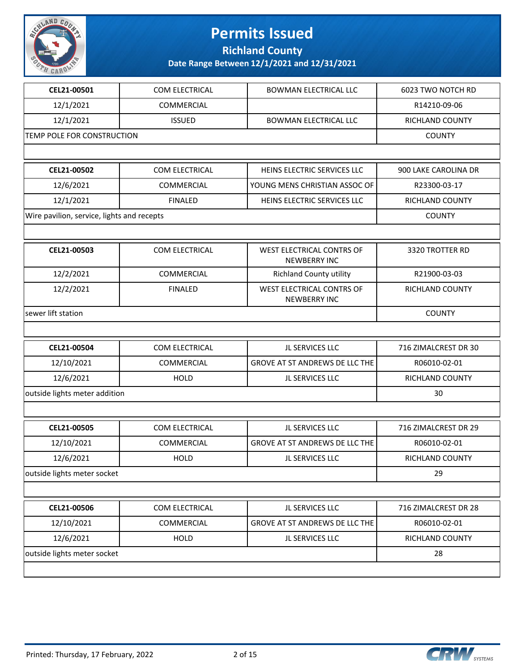

**Richland County**

| CEL21-00501                                | COM ELECTRICAL    | <b>BOWMAN ELECTRICAL LLC</b>                            | 6023 TWO NOTCH RD    |
|--------------------------------------------|-------------------|---------------------------------------------------------|----------------------|
| 12/1/2021                                  | COMMERCIAL        |                                                         | R14210-09-06         |
| 12/1/2021                                  | <b>ISSUED</b>     | <b>BOWMAN ELECTRICAL LLC</b>                            | RICHLAND COUNTY      |
| TEMP POLE FOR CONSTRUCTION                 |                   |                                                         | <b>COUNTY</b>        |
|                                            |                   |                                                         |                      |
| CEL21-00502                                | COM ELECTRICAL    | HEINS ELECTRIC SERVICES LLC                             | 900 LAKE CAROLINA DR |
| 12/6/2021                                  | <b>COMMERCIAL</b> | YOUNG MENS CHRISTIAN ASSOC OF                           | R23300-03-17         |
| 12/1/2021                                  | <b>FINALED</b>    | HEINS ELECTRIC SERVICES LLC                             | RICHLAND COUNTY      |
| Wire pavilion, service, lights and recepts |                   |                                                         | <b>COUNTY</b>        |
|                                            |                   |                                                         |                      |
| CEL21-00503                                | COM ELECTRICAL    | <b>WEST ELECTRICAL CONTRS OF</b><br><b>NEWBERRY INC</b> | 3320 TROTTER RD      |
| 12/2/2021                                  | COMMERCIAL        | <b>Richland County utility</b>                          | R21900-03-03         |
| 12/2/2021                                  | <b>FINALED</b>    | WEST ELECTRICAL CONTRS OF<br><b>NEWBERRY INC</b>        | RICHLAND COUNTY      |
| sewer lift station                         |                   |                                                         | <b>COUNTY</b>        |
|                                            |                   |                                                         |                      |
| CEL21-00504                                | COM ELECTRICAL    | JL SERVICES LLC                                         | 716 ZIMALCREST DR 30 |
| 12/10/2021                                 | <b>COMMERCIAL</b> | GROVE AT ST ANDREWS DE LLC THE                          | R06010-02-01         |
| 12/6/2021                                  | <b>HOLD</b>       | JL SERVICES LLC                                         | RICHLAND COUNTY      |
| outside lights meter addition              | 30                |                                                         |                      |
|                                            |                   |                                                         |                      |
| CEL21-00505                                | COM ELECTRICAL    | JL SERVICES LLC                                         | 716 ZIMALCREST DR 29 |
| 12/10/2021                                 | COMMERCIAL        | GROVE AT ST ANDREWS DE LLC THE                          | R06010-02-01         |
| 12/6/2021                                  | HOLD              | JL SERVICES LLC                                         | RICHLAND COUNTY      |
| outside lights meter socket                |                   |                                                         | 29                   |
|                                            |                   |                                                         |                      |
| CEL21-00506                                | COM ELECTRICAL    | JL SERVICES LLC                                         | 716 ZIMALCREST DR 28 |
| 12/10/2021                                 | <b>COMMERCIAL</b> | GROVE AT ST ANDREWS DE LLC THE                          | R06010-02-01         |
| 12/6/2021                                  | <b>HOLD</b>       | JL SERVICES LLC                                         | RICHLAND COUNTY      |
| outside lights meter socket                | 28                |                                                         |                      |
|                                            |                   |                                                         |                      |

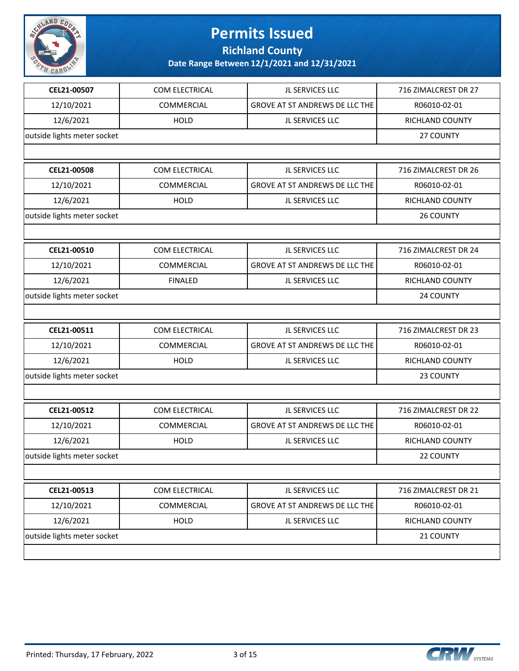

**Richland County**

| CEL21-00507                 | COM ELECTRICAL    | JL SERVICES LLC                       | 716 ZIMALCREST DR 27   |
|-----------------------------|-------------------|---------------------------------------|------------------------|
| 12/10/2021                  | <b>COMMERCIAL</b> | GROVE AT ST ANDREWS DE LLC THE        | R06010-02-01           |
| 12/6/2021                   | <b>HOLD</b>       | JL SERVICES LLC                       | RICHLAND COUNTY        |
| outside lights meter socket |                   |                                       | 27 COUNTY              |
|                             |                   |                                       |                        |
| CEL21-00508                 | COM ELECTRICAL    | JL SERVICES LLC                       | 716 ZIMALCREST DR 26   |
| 12/10/2021                  | <b>COMMERCIAL</b> | GROVE AT ST ANDREWS DE LLC THE        | R06010-02-01           |
| 12/6/2021                   | <b>HOLD</b>       | JL SERVICES LLC                       | RICHLAND COUNTY        |
| outside lights meter socket |                   |                                       | 26 COUNTY              |
|                             |                   |                                       |                        |
| CEL21-00510                 | COM ELECTRICAL    | JL SERVICES LLC                       | 716 ZIMALCREST DR 24   |
| 12/10/2021                  | COMMERCIAL        | <b>GROVE AT ST ANDREWS DE LLC THE</b> | R06010-02-01           |
| 12/6/2021                   | <b>FINALED</b>    | JL SERVICES LLC                       | <b>RICHLAND COUNTY</b> |
| outside lights meter socket |                   |                                       | 24 COUNTY              |
|                             |                   |                                       |                        |
| CEL21-00511                 | COM ELECTRICAL    | JL SERVICES LLC                       | 716 ZIMALCREST DR 23   |
| 12/10/2021                  | COMMERCIAL        | GROVE AT ST ANDREWS DE LLC THE        | R06010-02-01           |
| 12/6/2021                   | <b>HOLD</b>       | JL SERVICES LLC                       | RICHLAND COUNTY        |
| outside lights meter socket |                   |                                       | 23 COUNTY              |
|                             |                   |                                       |                        |
| CEL21-00512                 | COM ELECTRICAL    | JL SERVICES LLC                       | 716 ZIMALCREST DR 22   |
| 12/10/2021                  | <b>COMMERCIAL</b> | GROVE AT ST ANDREWS DE LLC THE        | R06010-02-01           |
| 12/6/2021                   | <b>HOLD</b>       | JL SERVICES LLC                       | RICHLAND COUNTY        |
| outside lights meter socket |                   |                                       | 22 COUNTY              |
|                             |                   |                                       |                        |
| CEL21-00513                 | COM ELECTRICAL    | JL SERVICES LLC                       | 716 ZIMALCREST DR 21   |
| 12/10/2021                  | COMMERCIAL        | GROVE AT ST ANDREWS DE LLC THE        | R06010-02-01           |
| 12/6/2021                   | HOLD              | JL SERVICES LLC                       | RICHLAND COUNTY        |
| outside lights meter socket |                   |                                       | 21 COUNTY              |
|                             |                   |                                       |                        |

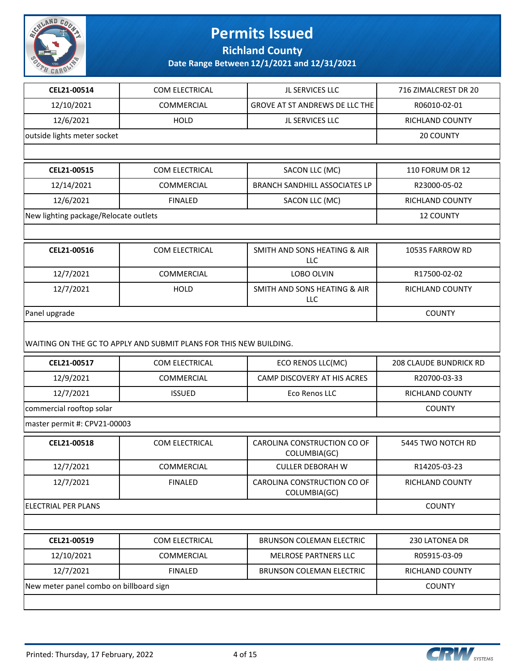

**Richland County**

| CEL21-00514                             | COM ELECTRICAL                                                     | JL SERVICES LLC                             | 716 ZIMALCREST DR 20          |
|-----------------------------------------|--------------------------------------------------------------------|---------------------------------------------|-------------------------------|
| 12/10/2021                              | <b>COMMERCIAL</b>                                                  | GROVE AT ST ANDREWS DE LLC THE              | R06010-02-01                  |
| 12/6/2021                               | <b>HOLD</b>                                                        | JL SERVICES LLC                             | RICHLAND COUNTY               |
| outside lights meter socket             |                                                                    |                                             | 20 COUNTY                     |
|                                         |                                                                    |                                             |                               |
| CEL21-00515                             | COM ELECTRICAL                                                     | SACON LLC (MC)                              | <b>110 FORUM DR 12</b>        |
| 12/14/2021                              | COMMERCIAL                                                         | <b>BRANCH SANDHILL ASSOCIATES LP</b>        | R23000-05-02                  |
| 12/6/2021                               | <b>FINALED</b>                                                     | SACON LLC (MC)                              | <b>RICHLAND COUNTY</b>        |
| New lighting package/Relocate outlets   |                                                                    |                                             | <b>12 COUNTY</b>              |
|                                         |                                                                    |                                             |                               |
| CEL21-00516                             | COM ELECTRICAL                                                     | SMITH AND SONS HEATING & AIR<br>LLC         | 10535 FARROW RD               |
| 12/7/2021                               | COMMERCIAL                                                         | LOBO OLVIN                                  | R17500-02-02                  |
| 12/7/2021                               | <b>HOLD</b>                                                        | SMITH AND SONS HEATING & AIR<br>LLC         | <b>RICHLAND COUNTY</b>        |
| Panel upgrade                           |                                                                    |                                             | <b>COUNTY</b>                 |
|                                         | WAITING ON THE GC TO APPLY AND SUBMIT PLANS FOR THIS NEW BUILDING. |                                             |                               |
| CEL21-00517                             | COM ELECTRICAL                                                     | ECO RENOS LLC(MC)                           | <b>208 CLAUDE BUNDRICK RD</b> |
| 12/9/2021                               | <b>COMMERCIAL</b>                                                  | CAMP DISCOVERY AT HIS ACRES                 | R20700-03-33                  |
| 12/7/2021                               | <b>ISSUED</b>                                                      | Eco Renos LLC                               | RICHLAND COUNTY               |
| commercial rooftop solar                | <b>COUNTY</b>                                                      |                                             |                               |
| master permit #: CPV21-00003            |                                                                    |                                             |                               |
| CEL21-00518                             | COM ELECTRICAL                                                     | CAROLINA CONSTRUCTION CO OF<br>COLUMBIA(GC) | 5445 TWO NOTCH RD             |
| 12/7/2021                               | <b>COMMERCIAL</b>                                                  | <b>CULLER DEBORAH W</b>                     | R14205-03-23                  |
| 12/7/2021                               | <b>FINALED</b>                                                     | CAROLINA CONSTRUCTION CO OF<br>COLUMBIA(GC) | RICHLAND COUNTY               |
| <b>ELECTRIAL PER PLANS</b>              | <b>COUNTY</b>                                                      |                                             |                               |
|                                         |                                                                    |                                             |                               |
| CEL21-00519                             | COM ELECTRICAL                                                     | <b>BRUNSON COLEMAN ELECTRIC</b>             | 230 LATONEA DR                |
| 12/10/2021                              | COMMERCIAL                                                         | MELROSE PARTNERS LLC                        | R05915-03-09                  |
| 12/7/2021                               | <b>FINALED</b>                                                     | <b>BRUNSON COLEMAN ELECTRIC</b>             | RICHLAND COUNTY               |
| New meter panel combo on billboard sign | <b>COUNTY</b>                                                      |                                             |                               |
|                                         |                                                                    |                                             |                               |

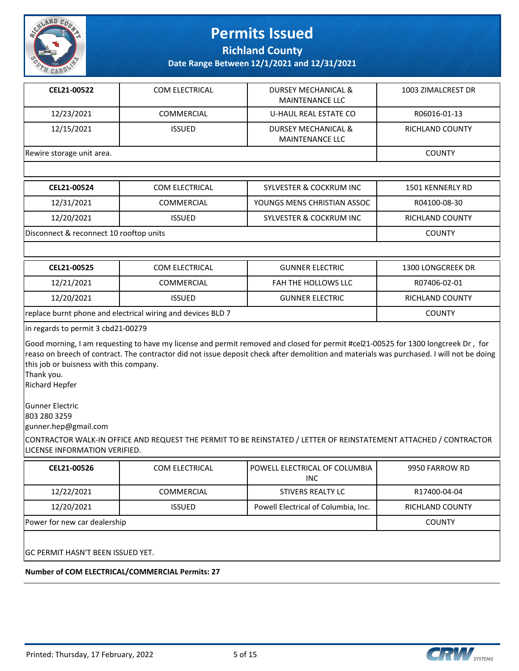

**Richland County**

**Date Range Between 12/1/2021 and 12/31/2021**

| CEL21-00522               | <b>COM ELECTRICAL</b> | DURSEY MECHANICAL &<br><b>MAINTENANCE LLC</b> | 1003 ZIMALCREST DR |
|---------------------------|-----------------------|-----------------------------------------------|--------------------|
| 12/23/2021                | COMMERCIAL            | U-HAUL REAL ESTATE CO                         | R06016-01-13       |
| 12/15/2021                | <b>ISSUED</b>         | DURSEY MECHANICAL &<br><b>MAINTENANCE LLC</b> | RICHLAND COUNTY    |
| Rewire storage unit area. |                       |                                               | <b>COUNTY</b>      |

| CEL21-00524                             | COM ELECTRICAL    | <b>SYLVESTER &amp; COCKRUM INC</b> | 1501 KENNERLY RD       |
|-----------------------------------------|-------------------|------------------------------------|------------------------|
| 12/31/2021                              | <b>COMMERCIAL</b> | YOUNGS MENS CHRISTIAN ASSOC        | R04100-08-30           |
| 12/20/2021                              | <b>ISSUED</b>     | <b>SYLVESTER &amp; COCKRUM INC</b> | <b>RICHLAND COUNTY</b> |
| Disconnect & reconnect 10 rooftop units |                   |                                    | <b>COUNTY</b>          |

| CEL21-00525                                                 | COM ELECTRICAL    | <b>GUNNER ELECTRIC</b> | 1300 LONGCREEK DR      |
|-------------------------------------------------------------|-------------------|------------------------|------------------------|
| 12/21/2021                                                  | <b>COMMERCIAL</b> | FAH THE HOLLOWS LLC    | R07406-02-01           |
| 12/20/2021                                                  | <b>ISSUED</b>     | <b>GUNNER ELECTRIC</b> | <b>RICHLAND COUNTY</b> |
| replace burnt phone and electrical wiring and devices BLD 7 |                   |                        | <b>COUNTY</b>          |

in regards to permit 3 cbd21-00279

Good morning, I am requesting to have my license and permit removed and closed for permit #cel21-00525 for 1300 longcreek Dr , for reaso on breech of contract. The contractor did not issue deposit check after demolition and materials was purchased. I will not be doing this job or buisness with this company.

Thank you.

Richard Hepfer

Gunner Electric 803 280 3259 gunner.hep@gmail.com

CONTRACTOR WALK-IN OFFICE AND REQUEST THE PERMIT TO BE REINSTATED / LETTER OF REINSTATEMENT ATTACHED / CONTRACTOR LICENSE INFORMATION VERIFIED.

| CEL21-00526                              | COM ELECTRICAL    | POWELL ELECTRICAL OF COLUMBIA<br><b>INC</b> | 9950 FARROW RD  |  |
|------------------------------------------|-------------------|---------------------------------------------|-----------------|--|
| 12/22/2021                               | <b>COMMERCIAL</b> | STIVERS REALTY LC                           | R17400-04-04    |  |
| 12/20/2021                               | <b>ISSUED</b>     | Powell Electrical of Columbia, Inc.         | RICHLAND COUNTY |  |
| Power for new car dealership             | <b>COUNTY</b>     |                                             |                 |  |
| <b>GC PERMIT HASN'T BEEN ISSUED YET.</b> |                   |                                             |                 |  |

**Number of COM ELECTRICAL/COMMERCIAL Permits: 27**



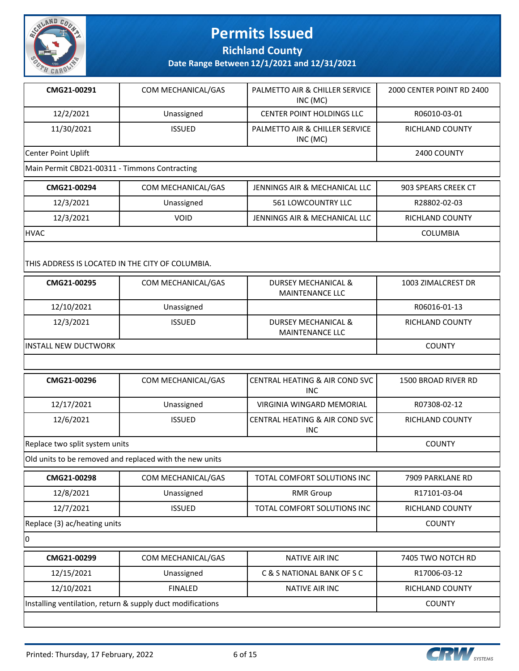

**Richland County**

**Date Range Between 12/1/2021 and 12/31/2021**

| CMG21-00291                                   | COM MECHANICAL/GAS | PALMETTO AIR & CHILLER SERVICE<br>INC (MC) | 2000 CENTER POINT RD 2400 |
|-----------------------------------------------|--------------------|--------------------------------------------|---------------------------|
| 12/2/2021                                     | Unassigned         | <b>CENTER POINT HOLDINGS LLC</b>           | R06010-03-01              |
| 11/30/2021                                    | <b>ISSUED</b>      | PALMETTO AIR & CHILLER SERVICE<br>INC (MC) | RICHLAND COUNTY           |
| Center Point Uplift                           | 2400 COUNTY        |                                            |                           |
| Main Permit CBD21-00311 - Timmons Contracting |                    |                                            |                           |

| CMG21-00294                                      | COM MECHANICAL/GAS | JENNINGS AIR & MECHANICAL LLC | 903 SPEARS CREEK CT    |  |
|--------------------------------------------------|--------------------|-------------------------------|------------------------|--|
| 12/3/2021                                        | Unassigned         | <b>561 LOWCOUNTRY LLC</b>     | R28802-02-03           |  |
| 12/3/2021                                        | VOID               | JENNINGS AIR & MECHANICAL LLC | <b>RICHLAND COUNTY</b> |  |
| <b>HVAC</b>                                      |                    |                               | <b>COLUMBIA</b>        |  |
| THIS ADDRESS IS LOCATED IN THE CITY OF COLUMBIA. |                    |                               |                        |  |

| CMG21-00295           | COM MECHANICAL/GAS | DURSEY MECHANICAL &<br><b>MAINTENANCE LLC</b> | 1003 ZIMALCREST DR |
|-----------------------|--------------------|-----------------------------------------------|--------------------|
| 12/10/2021            | Unassigned         |                                               | R06016-01-13       |
| 12/3/2021             | <b>ISSUED</b>      | DURSEY MECHANICAL &<br><b>MAINTENANCE LLC</b> | RICHLAND COUNTY    |
| IINSTALL NEW DUCTWORK |                    |                                               | <b>COUNTY</b>      |

| CMG21-00296                    | COM MECHANICAL/GAS | CENTRAL HEATING & AIR COND SVC<br><b>INC</b> | 1500 BROAD RIVER RD |
|--------------------------------|--------------------|----------------------------------------------|---------------------|
| 12/17/2021                     | Unassigned         | VIRGINIA WINGARD MEMORIAL                    | R07308-02-12        |
| 12/6/2021                      | <b>ISSUED</b>      | I CENTRAL HEATING & AIR COND SVC I<br>INC    | RICHLAND COUNTY     |
| Replace two split system units |                    |                                              | <b>COUNTY</b>       |

Old units to be removed and replaced with the new units

| CMG21-00298                  | COM MECHANICAL/GAS | TOTAL COMFORT SOLUTIONS INC | 7909 PARKLANE RD       |
|------------------------------|--------------------|-----------------------------|------------------------|
| 12/8/2021                    | Unassigned         | <b>RMR Group</b>            | R17101-03-04           |
| 12/7/2021                    | <b>ISSUED</b>      | TOTAL COMFORT SOLUTIONS INC | <b>RICHLAND COUNTY</b> |
| Replace (3) ac/heating units |                    |                             | <b>COUNTY</b>          |

 $|0$ 

| CMG21-00299                                                | COM MECHANICAL/GAS | NATIVE AIR INC             | 7405 TWO NOTCH RD |
|------------------------------------------------------------|--------------------|----------------------------|-------------------|
| 12/15/2021                                                 | Unassigned         | C & S NATIONAL BANK OF S C | R17006-03-12      |
| 12/10/2021                                                 | <b>FINALED</b>     | NATIVE AIR INC             | RICHLAND COUNTY   |
| Installing ventilation, return & supply duct modifications |                    |                            | <b>COUNTY</b>     |
|                                                            |                    |                            |                   |

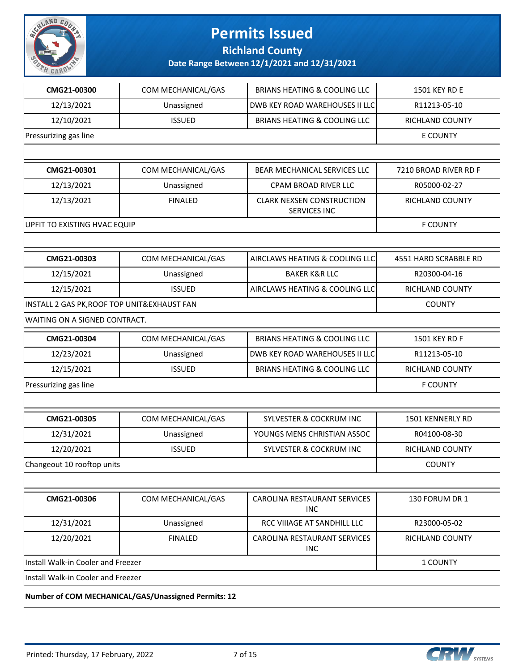

**Richland County**

**Date Range Between 12/1/2021 and 12/31/2021**

| CMG21-00300                                  | COM MECHANICAL/GAS | <b>BRIANS HEATING &amp; COOLING LLC</b>                 | 1501 KEY RD E          |
|----------------------------------------------|--------------------|---------------------------------------------------------|------------------------|
| 12/13/2021                                   | Unassigned         | DWB KEY ROAD WAREHOUSES II LLC                          | R11213-05-10           |
| 12/10/2021                                   | <b>ISSUED</b>      | <b>BRIANS HEATING &amp; COOLING LLC</b>                 | RICHLAND COUNTY        |
| Pressurizing gas line                        |                    |                                                         | <b>E COUNTY</b>        |
|                                              |                    |                                                         |                        |
| CMG21-00301                                  | COM MECHANICAL/GAS | BEAR MECHANICAL SERVICES LLC                            | 7210 BROAD RIVER RD F  |
| 12/13/2021                                   | Unassigned         | <b>CPAM BROAD RIVER LLC</b>                             | R05000-02-27           |
| 12/13/2021                                   | <b>FINALED</b>     | <b>CLARK NEXSEN CONSTRUCTION</b><br><b>SERVICES INC</b> | RICHLAND COUNTY        |
| UPFIT TO EXISTING HVAC EQUIP                 |                    |                                                         | <b>F COUNTY</b>        |
|                                              |                    |                                                         |                        |
| CMG21-00303                                  | COM MECHANICAL/GAS | AIRCLAWS HEATING & COOLING LLC                          | 4551 HARD SCRABBLE RD  |
| 12/15/2021                                   | Unassigned         | <b>BAKER K&amp;R LLC</b>                                | R20300-04-16           |
| 12/15/2021                                   | <b>ISSUED</b>      | AIRCLAWS HEATING & COOLING LLC                          | RICHLAND COUNTY        |
| INSTALL 2 GAS PK, ROOF TOP UNIT& EXHAUST FAN |                    |                                                         | <b>COUNTY</b>          |
| WAITING ON A SIGNED CONTRACT.                |                    |                                                         |                        |
| CMG21-00304                                  | COM MECHANICAL/GAS | <b>BRIANS HEATING &amp; COOLING LLC</b>                 | 1501 KEY RD F          |
| 12/23/2021                                   | Unassigned         | DWB KEY ROAD WAREHOUSES II LLC                          | R11213-05-10           |
| 12/15/2021                                   | <b>ISSUED</b>      | <b>BRIANS HEATING &amp; COOLING LLC</b>                 | RICHLAND COUNTY        |
| Pressurizing gas line                        |                    |                                                         | <b>F COUNTY</b>        |
|                                              |                    |                                                         |                        |
| CMG21-00305                                  | COM MECHANICAL/GAS | <b>SYLVESTER &amp; COCKRUM INC</b>                      | 1501 KENNERLY RD       |
| 12/31/2021                                   | Unassigned         | YOUNGS MENS CHRISTIAN ASSOC                             | R04100-08-30           |
| 12/20/2021                                   | <b>ISSUED</b>      | <b>SYLVESTER &amp; COCKRUM INC</b>                      | <b>RICHLAND COUNTY</b> |
| Changeout 10 rooftop units                   |                    |                                                         | <b>COUNTY</b>          |
|                                              |                    |                                                         |                        |
| CMG21-00306                                  | COM MECHANICAL/GAS | CAROLINA RESTAURANT SERVICES<br><b>INC</b>              | 130 FORUM DR 1         |
| 12/31/2021                                   | Unassigned         | RCC VIIIAGE AT SANDHILL LLC                             | R23000-05-02           |
| 12/20/2021                                   | <b>FINALED</b>     | CAROLINA RESTAURANT SERVICES<br>INC                     | RICHLAND COUNTY        |
| Install Walk-in Cooler and Freezer           | 1 COUNTY           |                                                         |                        |
| Install Walk-in Cooler and Freezer           |                    |                                                         |                        |

**Number of COM MECHANICAL/GAS/Unassigned Permits: 12**

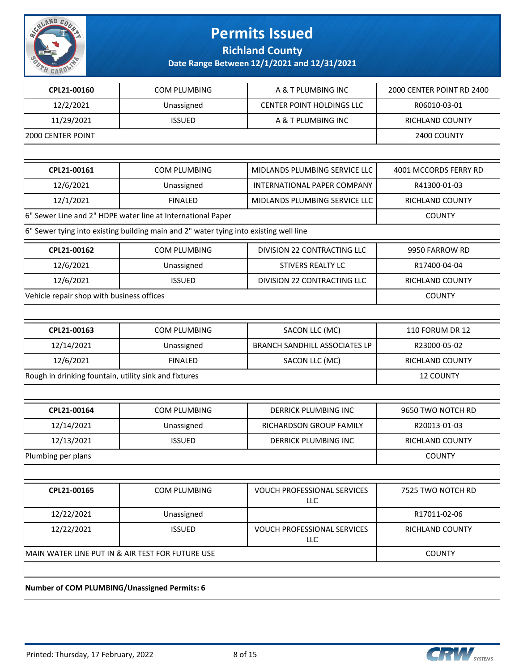

**Richland County**

**Date Range Between 12/1/2021 and 12/31/2021**

| CPL21-00160                                           | <b>COM PLUMBING</b>                                                                   | A & T PLUMBING INC                        | 2000 CENTER POINT RD 2400 |
|-------------------------------------------------------|---------------------------------------------------------------------------------------|-------------------------------------------|---------------------------|
| 12/2/2021                                             | Unassigned                                                                            | CENTER POINT HOLDINGS LLC                 | R06010-03-01              |
| 11/29/2021                                            | <b>ISSUED</b>                                                                         | A & T PLUMBING INC                        | RICHLAND COUNTY           |
| 2000 CENTER POINT                                     |                                                                                       |                                           | 2400 COUNTY               |
|                                                       |                                                                                       |                                           |                           |
| CPL21-00161                                           | <b>COM PLUMBING</b>                                                                   | MIDLANDS PLUMBING SERVICE LLC             | 4001 MCCORDS FERRY RD     |
| 12/6/2021                                             | Unassigned                                                                            | INTERNATIONAL PAPER COMPANY               | R41300-01-03              |
| 12/1/2021                                             | <b>FINALED</b>                                                                        | MIDLANDS PLUMBING SERVICE LLC             | RICHLAND COUNTY           |
|                                                       | 6" Sewer Line and 2" HDPE water line at International Paper                           |                                           | <b>COUNTY</b>             |
|                                                       | 6" Sewer tying into existing building main and 2" water tying into existing well line |                                           |                           |
| CPL21-00162                                           | <b>COM PLUMBING</b>                                                                   | DIVISION 22 CONTRACTING LLC               | 9950 FARROW RD            |
| 12/6/2021                                             | Unassigned                                                                            | STIVERS REALTY LC                         | R17400-04-04              |
| 12/6/2021                                             | <b>ISSUED</b>                                                                         | DIVISION 22 CONTRACTING LLC               | RICHLAND COUNTY           |
| Vehicle repair shop with business offices             |                                                                                       |                                           | <b>COUNTY</b>             |
|                                                       |                                                                                       |                                           |                           |
| CPL21-00163                                           | <b>COM PLUMBING</b>                                                                   | SACON LLC (MC)                            | <b>110 FORUM DR 12</b>    |
| 12/14/2021                                            | Unassigned                                                                            | <b>BRANCH SANDHILL ASSOCIATES LP</b>      | R23000-05-02              |
| 12/6/2021                                             | <b>FINALED</b>                                                                        | SACON LLC (MC)                            | RICHLAND COUNTY           |
| Rough in drinking fountain, utility sink and fixtures |                                                                                       |                                           | <b>12 COUNTY</b>          |
|                                                       |                                                                                       |                                           |                           |
| CPL21-00164                                           | <b>COM PLUMBING</b>                                                                   | <b>DERRICK PLUMBING INC</b>               | 9650 TWO NOTCH RD         |
| 12/14/2021                                            | Unassigned                                                                            | RICHARDSON GROUP FAMILY                   | R20013-01-03              |
| 12/13/2021                                            | <b>ISSUED</b>                                                                         | <b>DERRICK PLUMBING INC</b>               | RICHLAND COUNTY           |
| Plumbing per plans                                    |                                                                                       |                                           | <b>COUNTY</b>             |
|                                                       |                                                                                       |                                           |                           |
| CPL21-00165                                           | <b>COM PLUMBING</b>                                                                   | <b>VOUCH PROFESSIONAL SERVICES</b><br>LLC | 7525 TWO NOTCH RD         |
| 12/22/2021                                            | Unassigned                                                                            |                                           | R17011-02-06              |
| 12/22/2021                                            | <b>ISSUED</b>                                                                         | <b>VOUCH PROFESSIONAL SERVICES</b><br>LLC | RICHLAND COUNTY           |
| MAIN WATER LINE PUT IN & AIR TEST FOR FUTURE USE      | <b>COUNTY</b>                                                                         |                                           |                           |
|                                                       |                                                                                       |                                           |                           |

**Number of COM PLUMBING/Unassigned Permits: 6**

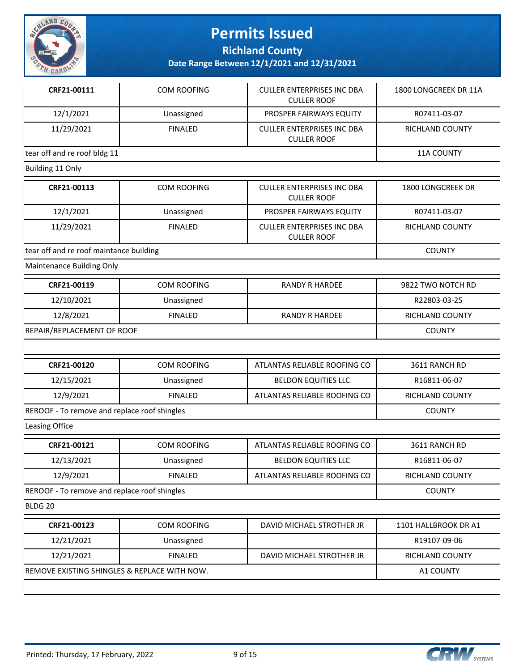

**Richland County**

| CRF21-00111                                  | <b>COM ROOFING</b> | <b>CULLER ENTERPRISES INC DBA</b><br><b>CULLER ROOF</b> | 1800 LONGCREEK DR 11A  |
|----------------------------------------------|--------------------|---------------------------------------------------------|------------------------|
| 12/1/2021                                    | Unassigned         | PROSPER FAIRWAYS EQUITY                                 | R07411-03-07           |
| 11/29/2021                                   | <b>FINALED</b>     | <b>CULLER ENTERPRISES INC DBA</b><br><b>CULLER ROOF</b> | RICHLAND COUNTY        |
| tear off and re roof bldg 11                 |                    |                                                         | 11A COUNTY             |
| Building 11 Only                             |                    |                                                         |                        |
| CRF21-00113                                  | COM ROOFING        | <b>CULLER ENTERPRISES INC DBA</b><br><b>CULLER ROOF</b> | 1800 LONGCREEK DR      |
| 12/1/2021                                    | Unassigned         | PROSPER FAIRWAYS EQUITY                                 | R07411-03-07           |
| 11/29/2021                                   | <b>FINALED</b>     | <b>CULLER ENTERPRISES INC DBA</b><br><b>CULLER ROOF</b> | <b>RICHLAND COUNTY</b> |
| tear off and re roof maintance building      |                    |                                                         | <b>COUNTY</b>          |
| Maintenance Building Only                    |                    |                                                         |                        |
| CRF21-00119                                  | <b>COM ROOFING</b> | <b>RANDY R HARDEE</b>                                   | 9822 TWO NOTCH RD      |
| 12/10/2021                                   | Unassigned         |                                                         | R22803-03-25           |
| 12/8/2021                                    | <b>FINALED</b>     | <b>RANDY R HARDEE</b>                                   | RICHLAND COUNTY        |
| REPAIR/REPLACEMENT OF ROOF                   |                    |                                                         | <b>COUNTY</b>          |
|                                              |                    |                                                         |                        |
| CRF21-00120                                  | COM ROOFING        | ATLANTAS RELIABLE ROOFING CO                            | 3611 RANCH RD          |
| 12/15/2021                                   | Unassigned         | <b>BELDON EQUITIES LLC</b>                              | R16811-06-07           |
| 12/9/2021                                    | <b>FINALED</b>     | ATLANTAS RELIABLE ROOFING CO                            | RICHLAND COUNTY        |
| REROOF - To remove and replace roof shingles |                    |                                                         | <b>COUNTY</b>          |
| Leasing Office                               |                    |                                                         |                        |
| CRF21-00121                                  | <b>COM ROOFING</b> | ATLANTAS RELIABLE ROOFING CO                            | 3611 RANCH RD          |
| 12/13/2021                                   | Unassigned         | <b>BELDON EQUITIES LLC</b>                              | R16811-06-07           |
| 12/9/2021                                    | <b>FINALED</b>     | ATLANTAS RELIABLE ROOFING CO                            | RICHLAND COUNTY        |
| REROOF - To remove and replace roof shingles |                    |                                                         | <b>COUNTY</b>          |
| BLDG 20                                      |                    |                                                         |                        |
| CRF21-00123                                  | COM ROOFING        | DAVID MICHAEL STROTHER JR                               | 1101 HALLBROOK DR A1   |
| 12/21/2021                                   | Unassigned         |                                                         | R19107-09-06           |
| 12/21/2021                                   | <b>FINALED</b>     | DAVID MICHAEL STROTHER JR                               | RICHLAND COUNTY        |
| REMOVE EXISTING SHINGLES & REPLACE WITH NOW. |                    |                                                         | A1 COUNTY              |

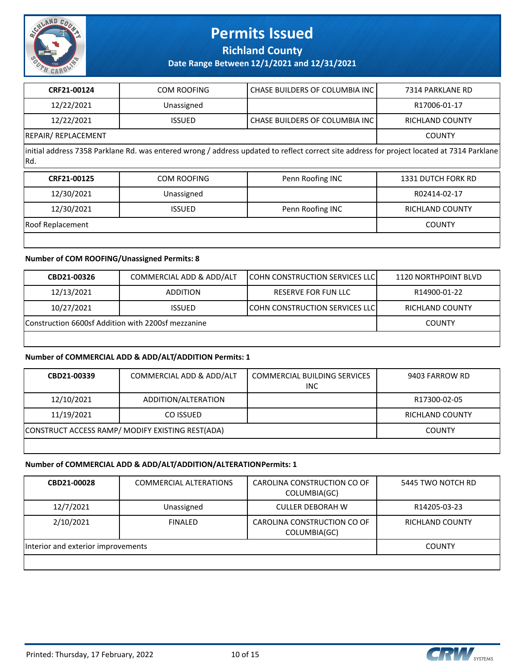

**Richland County**

**Date Range Between 12/1/2021 and 12/31/2021**

| CRF21-00124        | <b>COM ROOFING</b> | CHASE BUILDERS OF COLUMBIA INC I | 7314 PARKLANE RD |
|--------------------|--------------------|----------------------------------|------------------|
| 12/22/2021         | Unassigned         |                                  | R17006-01-17     |
| 12/22/2021         | <b>ISSUED</b>      | CHASE BUILDERS OF COLUMBIA INC   | RICHLAND COUNTY  |
| REPAIR/REPLACEMENT |                    |                                  | <b>COUNTY</b>    |

initial address 7358 Parklane Rd. was entered wrong / address updated to reflect correct site address for project located at 7314 Parklane Rd.

| CRF21-00125      | COM ROOFING   | Penn Roofing INC | <b>1331 DUTCH FORK RD</b> |
|------------------|---------------|------------------|---------------------------|
| 12/30/2021       | Unassigned    |                  | R02414-02-17              |
| 12/30/2021       | <b>ISSUED</b> | Penn Roofing INC | RICHLAND COUNTY           |
| Roof Replacement |               |                  | <b>COUNTY</b>             |
|                  |               |                  |                           |

### **Number of COM ROOFING/Unassigned Permits: 8**

| CBD21-00326                                        | COMMERCIAL ADD & ADD/ALT | <b>ICOHN CONSTRUCTION SERVICES LLCI</b> | 1120 NORTHPOINT BLVD |
|----------------------------------------------------|--------------------------|-----------------------------------------|----------------------|
| 12/13/2021                                         | <b>ADDITION</b>          | RESERVE FOR FUN LLC                     | R14900-01-22         |
| 10/27/2021                                         | <b>ISSUED</b>            | <b>COHN CONSTRUCTION SERVICES LLC</b>   | RICHLAND COUNTY      |
| Construction 6600sf Addition with 2200sf mezzanine |                          |                                         | <b>COUNTY</b>        |
|                                                    |                          |                                         |                      |

#### **Number of COMMERCIAL ADD & ADD/ALT/ADDITION Permits: 1**

| CBD21-00339                                      | COMMERCIAL ADD & ADD/ALT | <b>COMMERCIAL BUILDING SERVICES</b><br><b>INC</b> | 9403 FARROW RD         |
|--------------------------------------------------|--------------------------|---------------------------------------------------|------------------------|
| 12/10/2021                                       | ADDITION/ALTERATION      |                                                   | R17300-02-05           |
| 11/19/2021                                       | CO ISSUED                |                                                   | <b>RICHLAND COUNTY</b> |
| CONSTRUCT ACCESS RAMP/ MODIFY EXISTING REST(ADA) |                          |                                                   | <b>COUNTY</b>          |

#### **Number of COMMERCIAL ADD & ADD/ALT/ADDITION/ALTERATION Permits: 1**

| CBD21-00028                        | <b>COMMERCIAL ALTERATIONS</b> | CAROLINA CONSTRUCTION CO OF<br>COLUMBIA(GC) | 5445 TWO NOTCH RD |
|------------------------------------|-------------------------------|---------------------------------------------|-------------------|
| 12/7/2021                          | Unassigned                    | <b>CULLER DEBORAH W</b>                     | R14205-03-23      |
| 2/10/2021                          | <b>FINALED</b>                | CAROLINA CONSTRUCTION CO OF<br>COLUMBIA(GC) | RICHLAND COUNTY   |
| Interior and exterior improvements |                               |                                             | <b>COUNTY</b>     |
|                                    |                               |                                             |                   |

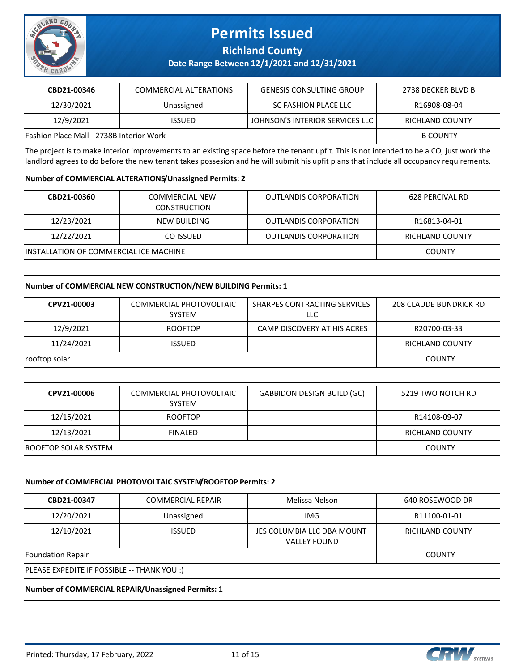

## **Richland County**

## **Date Range Between 12/1/2021 and 12/31/2021**

| CBD21-00346                                                                                                                                        | <b>COMMERCIAL ALTERATIONS</b> | <b>GENESIS CONSULTING GROUP</b> | 2738 DECKER BLVD B |
|----------------------------------------------------------------------------------------------------------------------------------------------------|-------------------------------|---------------------------------|--------------------|
| 12/30/2021                                                                                                                                         | Unassigned                    | SC FASHION PLACE LLC            | R16908-08-04       |
| 12/9/2021                                                                                                                                          | <b>ISSUED</b>                 | JOHNSON'S INTERIOR SERVICES LLC | RICHLAND COUNTY    |
| Fashion Place Mall - 2738B Interior Work                                                                                                           |                               |                                 | <b>B COUNTY</b>    |
| The sected to be scaled inheritor incorporation on a contribution and he faced the beneath conflict to set inheritated by he a CO, in the model by |                               |                                 |                    |

The project is to make interior improvements to an existing space before the tenant upfit. This is not intended to be a CO, just work the landlord agrees to do before the new tenant takes possesion and he will submit his upfit plans that include all occupancy requirements.

### **Number of COMMERCIAL ALTERATIONS/Unassigned Permits: 2**

| CBD21-00360                                    | <b>COMMERCIAL NEW</b><br><b>CONSTRUCTION</b> | <b>OUTLANDIS CORPORATION</b> | 628 PERCIVAL RD |
|------------------------------------------------|----------------------------------------------|------------------------------|-----------------|
| 12/23/2021                                     | NEW BUILDING                                 | <b>OUTLANDIS CORPORATION</b> | R16813-04-01    |
| 12/22/2021                                     | CO ISSUED                                    | <b>OUTLANDIS CORPORATION</b> | RICHLAND COUNTY |
| <b>IINSTALLATION OF COMMERCIAL ICE MACHINE</b> |                                              |                              | <b>COUNTY</b>   |
|                                                |                                              |                              |                 |

### **Number of COMMERCIAL NEW CONSTRUCTION/NEW BUILDING Permits: 1**

| CPV21-00003                 | COMMERCIAL PHOTOVOLTAIC<br><b>SYSTEM</b> | SHARPES CONTRACTING SERVICES<br>LLC. | <b>208 CLAUDE BUNDRICK RD</b> |
|-----------------------------|------------------------------------------|--------------------------------------|-------------------------------|
| 12/9/2021                   | <b>ROOFTOP</b>                           | CAMP DISCOVERY AT HIS ACRES          | R20700-03-33                  |
| 11/24/2021                  | <b>ISSUED</b>                            |                                      | <b>RICHLAND COUNTY</b>        |
| rooftop solar               |                                          |                                      | <b>COUNTY</b>                 |
|                             |                                          |                                      |                               |
| CPV21-00006                 | COMMERCIAL PHOTOVOLTAIC<br><b>SYSTEM</b> | <b>GABBIDON DESIGN BUILD (GC)</b>    | 5219 TWO NOTCH RD             |
| 12/15/2021                  | <b>ROOFTOP</b>                           |                                      | R14108-09-07                  |
| 12/13/2021                  | <b>FINALED</b>                           |                                      | <b>RICHLAND COUNTY</b>        |
|                             |                                          |                                      |                               |
| <b>ROOFTOP SOLAR SYSTEM</b> |                                          |                                      | <b>COUNTY</b>                 |

### **Number of COMMERCIAL PHOTOVOLTAIC SYSTEM/ROOFTOP Permits: 2**

| CBD21-00347                                 | <b>COMMERCIAL REPAIR</b> | Melissa Nelson                                    | 640 ROSEWOOD DR        |  |
|---------------------------------------------|--------------------------|---------------------------------------------------|------------------------|--|
| 12/20/2021                                  | Unassigned               | IMG                                               | R11100-01-01           |  |
| 12/10/2021                                  | <b>ISSUED</b>            | JES COLUMBIA LLC DBA MOUNT<br><b>VALLEY FOUND</b> | <b>RICHLAND COUNTY</b> |  |
| Foundation Repair                           | <b>COUNTY</b>            |                                                   |                        |  |
| PLEASE EXPEDITE IF POSSIBLE -- THANK YOU :) |                          |                                                   |                        |  |

### **Number of COMMERCIAL REPAIR/Unassigned Permits: 1**

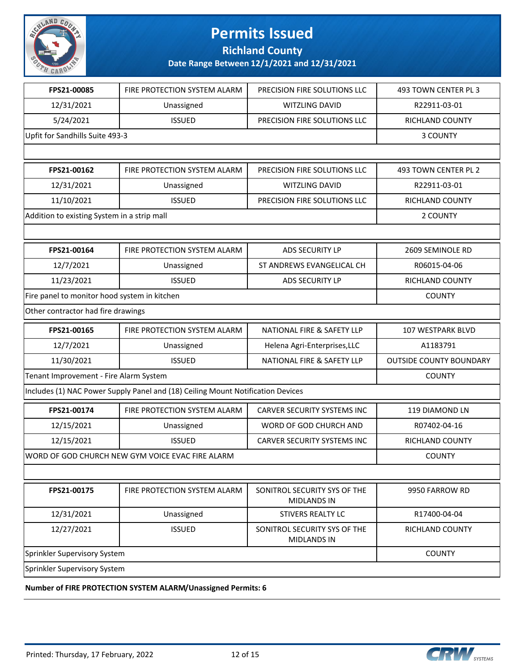

**Richland County**

**Date Range Between 12/1/2021 and 12/31/2021**

| FPS21-00085                                  | FIRE PROTECTION SYSTEM ALARM                                                    | PRECISION FIRE SOLUTIONS LLC                       | 493 TOWN CENTER PL 3           |
|----------------------------------------------|---------------------------------------------------------------------------------|----------------------------------------------------|--------------------------------|
| 12/31/2021                                   | Unassigned                                                                      | WITZLING DAVID                                     | R22911-03-01                   |
| 5/24/2021                                    | <b>ISSUED</b>                                                                   | PRECISION FIRE SOLUTIONS LLC                       | RICHLAND COUNTY                |
| Upfit for Sandhills Suite 493-3              |                                                                                 |                                                    | 3 COUNTY                       |
|                                              |                                                                                 |                                                    |                                |
| FPS21-00162                                  | FIRE PROTECTION SYSTEM ALARM                                                    | PRECISION FIRE SOLUTIONS LLC                       | 493 TOWN CENTER PL 2           |
| 12/31/2021                                   | Unassigned                                                                      | WITZLING DAVID                                     | R22911-03-01                   |
| 11/10/2021                                   | <b>ISSUED</b>                                                                   | PRECISION FIRE SOLUTIONS LLC                       | RICHLAND COUNTY                |
| Addition to existing System in a strip mall  |                                                                                 |                                                    | 2 COUNTY                       |
|                                              |                                                                                 |                                                    |                                |
| FPS21-00164                                  | FIRE PROTECTION SYSTEM ALARM                                                    | ADS SECURITY LP                                    | 2609 SEMINOLE RD               |
| 12/7/2021                                    | Unassigned                                                                      | ST ANDREWS EVANGELICAL CH                          | R06015-04-06                   |
| 11/23/2021                                   | <b>ISSUED</b>                                                                   | ADS SECURITY LP                                    | RICHLAND COUNTY                |
| Fire panel to monitor hood system in kitchen |                                                                                 |                                                    | <b>COUNTY</b>                  |
| Other contractor had fire drawings           |                                                                                 |                                                    |                                |
| FPS21-00165                                  | FIRE PROTECTION SYSTEM ALARM                                                    | NATIONAL FIRE & SAFETY LLP                         | 107 WESTPARK BLVD              |
| 12/7/2021                                    | Unassigned                                                                      | Helena Agri-Enterprises, LLC                       | A1183791                       |
| 11/30/2021                                   | <b>ISSUED</b>                                                                   | NATIONAL FIRE & SAFETY LLP                         | <b>OUTSIDE COUNTY BOUNDARY</b> |
| Tenant Improvement - Fire Alarm System       | <b>COUNTY</b>                                                                   |                                                    |                                |
|                                              | Includes (1) NAC Power Supply Panel and (18) Ceiling Mount Notification Devices |                                                    |                                |
| FPS21-00174                                  | FIRE PROTECTION SYSTEM ALARM                                                    | CARVER SECURITY SYSTEMS INC                        | 119 DIAMOND LN                 |
| 12/15/2021                                   | Unassigned                                                                      | WORD OF GOD CHURCH AND                             | R07402-04-16                   |
| 12/15/2021                                   | <b>ISSUED</b>                                                                   | <b>CARVER SECURITY SYSTEMS INC</b>                 | RICHLAND COUNTY                |
|                                              | WORD OF GOD CHURCH NEW GYM VOICE EVAC FIRE ALARM                                |                                                    | <b>COUNTY</b>                  |
|                                              |                                                                                 |                                                    |                                |
| FPS21-00175                                  | FIRE PROTECTION SYSTEM ALARM                                                    | SONITROL SECURITY SYS OF THE<br><b>MIDLANDS IN</b> | 9950 FARROW RD                 |
| 12/31/2021                                   | Unassigned                                                                      | STIVERS REALTY LC                                  | R17400-04-04                   |
| 12/27/2021                                   | <b>ISSUED</b>                                                                   | SONITROL SECURITY SYS OF THE<br><b>MIDLANDS IN</b> | RICHLAND COUNTY                |
| Sprinkler Supervisory System                 | <b>COUNTY</b>                                                                   |                                                    |                                |
| Sprinkler Supervisory System                 |                                                                                 |                                                    |                                |

**Number of FIRE PROTECTION SYSTEM ALARM/Unassigned Permits: 6**

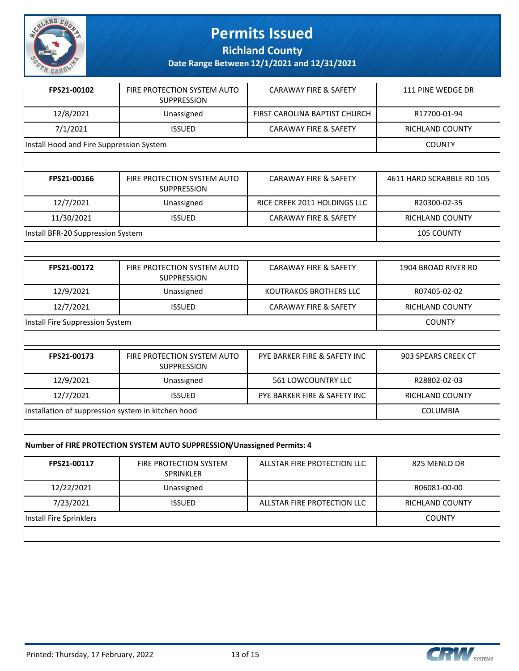

**Richland County**

**Date Range Between 12/1/2021 and 12/31/2021**

| FPS21-00102                              | FIRE PROTECTION SYSTEM AUTO<br><b>SUPPRESSION</b> | <b>CARAWAY FIRE &amp; SAFETY</b> | 111 PINE WEDGE DR |
|------------------------------------------|---------------------------------------------------|----------------------------------|-------------------|
| 12/8/2021                                | Unassigned                                        | FIRST CAROLINA BAPTIST CHURCH    | R17700-01-94      |
| 7/1/2021                                 | <b>ISSUED</b>                                     | <b>CARAWAY FIRE &amp; SAFETY</b> | RICHLAND COUNTY   |
| Install Hood and Fire Suppression System |                                                   |                                  | <b>COUNTY</b>     |

| FPS21-00166                       | FIRE PROTECTION SYSTEM AUTO<br><b>SUPPRESSION</b> | <b>CARAWAY FIRE &amp; SAFETY</b> | 4611 HARD SCRABBLE RD 105 |
|-----------------------------------|---------------------------------------------------|----------------------------------|---------------------------|
| 12/7/2021                         | Unassigned                                        | RICE CREEK 2011 HOLDINGS LLC     | R20300-02-35              |
| 11/30/2021                        | <b>ISSUED</b>                                     | <b>CARAWAY FIRE &amp; SAFETY</b> | RICHLAND COUNTY           |
| Install BFR-20 Suppression System |                                                   |                                  | <b>105 COUNTY</b>         |

| FPS21-00172                     | FIRE PROTECTION SYSTEM AUTO<br><b>SUPPRESSION</b> | <b>CARAWAY FIRE &amp; SAFETY</b> | 1904 BROAD RIVER RD |
|---------------------------------|---------------------------------------------------|----------------------------------|---------------------|
| 12/9/2021                       | Unassigned                                        | KOUTRAKOS BROTHERS LLC           | R07405-02-02        |
| 12/7/2021                       | <b>ISSUED</b>                                     | <b>CARAWAY FIRE &amp; SAFETY</b> | RICHLAND COUNTY     |
| Install Fire Suppression System |                                                   |                                  | <b>COUNTY</b>       |

| FPS21-00173                                        | FIRE PROTECTION SYSTEM AUTO<br><b>SUPPRESSION</b> | PYE BARKER FIRE & SAFETY INC | 903 SPEARS CREEK CT |
|----------------------------------------------------|---------------------------------------------------|------------------------------|---------------------|
| 12/9/2021                                          | Unassigned                                        | 561 LOWCOUNTRY LLC           | R28802-02-03        |
| 12/7/2021                                          | <b>ISSUED</b>                                     | PYE BARKER FIRE & SAFETY INC | RICHLAND COUNTY     |
| installation of suppression system in kitchen hood |                                                   |                              | <b>COLUMBIA</b>     |
|                                                    |                                                   |                              |                     |

### **Number of FIRE PROTECTION SYSTEM AUTO SUPPRESSION/Unassigned Permits: 4**

| FPS21-00117             | <b>FIRE PROTECTION SYSTEM</b><br><b>SPRINKLER</b> | ALLSTAR FIRE PROTECTION LLC | 825 MENLO DR    |
|-------------------------|---------------------------------------------------|-----------------------------|-----------------|
| 12/22/2021              | Unassigned                                        |                             | R06081-00-00    |
| 7/23/2021               | <b>ISSUED</b>                                     | ALLSTAR FIRE PROTECTION LLC | RICHLAND COUNTY |
| Install Fire Sprinklers |                                                   |                             | <b>COUNTY</b>   |
|                         |                                                   |                             |                 |



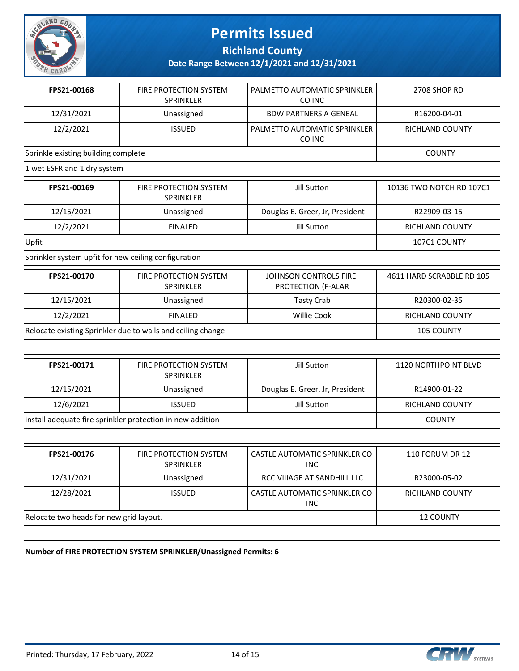

**Richland County**

**Date Range Between 12/1/2021 and 12/31/2021**

| 12/31/2021<br><b>BDW PARTNERS A GENEAL</b><br>R16200-04-01<br>Unassigned<br>12/2/2021<br><b>ISSUED</b><br>PALMETTO AUTOMATIC SPRINKLER<br>RICHLAND COUNTY<br>CO INC<br>Sprinkle existing building complete<br><b>COUNTY</b><br>1 wet ESFR and 1 dry system<br>FPS21-00169<br>FIRE PROTECTION SYSTEM<br>Jill Sutton<br><b>SPRINKLER</b><br>12/15/2021<br>Douglas E. Greer, Jr, President<br>R22909-03-15<br>Unassigned<br>12/2/2021<br><b>FINALED</b><br>Jill Sutton<br>RICHLAND COUNTY<br>Upfit<br>107C1 COUNTY<br>Sprinkler system upfit for new ceiling configuration<br>FPS21-00170<br>FIRE PROTECTION SYSTEM<br>JOHNSON CONTROLS FIRE<br><b>SPRINKLER</b><br>PROTECTION (F-ALAR<br>R20300-02-35<br>12/15/2021<br><b>Tasty Crab</b><br>Unassigned<br><b>FINALED</b><br>Willie Cook<br>12/2/2021<br>RICHLAND COUNTY<br>Relocate existing Sprinkler due to walls and ceiling change<br><b>105 COUNTY</b><br>FIRE PROTECTION SYSTEM<br>Jill Sutton<br>FPS21-00171<br><b>1120 NORTHPOINT BLVD</b><br>SPRINKLER<br>12/15/2021<br>Douglas E. Greer, Jr, President<br>R14900-01-22<br>Unassigned<br>12/6/2021<br><b>ISSUED</b><br>Jill Sutton<br>RICHLAND COUNTY<br>install adequate fire sprinkler protection in new addition<br><b>COUNTY</b><br>FPS21-00176<br>110 FORUM DR 12<br>FIRE PROTECTION SYSTEM<br>CASTLE AUTOMATIC SPRINKLER CO<br>SPRINKLER<br><b>INC</b><br>12/31/2021<br>Unassigned<br>RCC VIIIAGE AT SANDHILL LLC<br>R23000-05-02<br>CASTLE AUTOMATIC SPRINKLER CO<br>12/28/2021<br><b>ISSUED</b><br>RICHLAND COUNTY<br><b>INC</b> | FPS21-00168                             | FIRE PROTECTION SYSTEM<br><b>SPRINKLER</b> | PALMETTO AUTOMATIC SPRINKLER<br>CO INC | 2708 SHOP RD              |
|-------------------------------------------------------------------------------------------------------------------------------------------------------------------------------------------------------------------------------------------------------------------------------------------------------------------------------------------------------------------------------------------------------------------------------------------------------------------------------------------------------------------------------------------------------------------------------------------------------------------------------------------------------------------------------------------------------------------------------------------------------------------------------------------------------------------------------------------------------------------------------------------------------------------------------------------------------------------------------------------------------------------------------------------------------------------------------------------------------------------------------------------------------------------------------------------------------------------------------------------------------------------------------------------------------------------------------------------------------------------------------------------------------------------------------------------------------------------------------------------------------------------------------------------------|-----------------------------------------|--------------------------------------------|----------------------------------------|---------------------------|
|                                                                                                                                                                                                                                                                                                                                                                                                                                                                                                                                                                                                                                                                                                                                                                                                                                                                                                                                                                                                                                                                                                                                                                                                                                                                                                                                                                                                                                                                                                                                                 |                                         |                                            |                                        |                           |
|                                                                                                                                                                                                                                                                                                                                                                                                                                                                                                                                                                                                                                                                                                                                                                                                                                                                                                                                                                                                                                                                                                                                                                                                                                                                                                                                                                                                                                                                                                                                                 |                                         |                                            |                                        |                           |
|                                                                                                                                                                                                                                                                                                                                                                                                                                                                                                                                                                                                                                                                                                                                                                                                                                                                                                                                                                                                                                                                                                                                                                                                                                                                                                                                                                                                                                                                                                                                                 |                                         |                                            |                                        |                           |
|                                                                                                                                                                                                                                                                                                                                                                                                                                                                                                                                                                                                                                                                                                                                                                                                                                                                                                                                                                                                                                                                                                                                                                                                                                                                                                                                                                                                                                                                                                                                                 |                                         |                                            |                                        |                           |
|                                                                                                                                                                                                                                                                                                                                                                                                                                                                                                                                                                                                                                                                                                                                                                                                                                                                                                                                                                                                                                                                                                                                                                                                                                                                                                                                                                                                                                                                                                                                                 |                                         |                                            |                                        | 10136 TWO NOTCH RD 107C1  |
|                                                                                                                                                                                                                                                                                                                                                                                                                                                                                                                                                                                                                                                                                                                                                                                                                                                                                                                                                                                                                                                                                                                                                                                                                                                                                                                                                                                                                                                                                                                                                 |                                         |                                            |                                        |                           |
|                                                                                                                                                                                                                                                                                                                                                                                                                                                                                                                                                                                                                                                                                                                                                                                                                                                                                                                                                                                                                                                                                                                                                                                                                                                                                                                                                                                                                                                                                                                                                 |                                         |                                            |                                        |                           |
|                                                                                                                                                                                                                                                                                                                                                                                                                                                                                                                                                                                                                                                                                                                                                                                                                                                                                                                                                                                                                                                                                                                                                                                                                                                                                                                                                                                                                                                                                                                                                 |                                         |                                            |                                        |                           |
|                                                                                                                                                                                                                                                                                                                                                                                                                                                                                                                                                                                                                                                                                                                                                                                                                                                                                                                                                                                                                                                                                                                                                                                                                                                                                                                                                                                                                                                                                                                                                 |                                         |                                            |                                        |                           |
|                                                                                                                                                                                                                                                                                                                                                                                                                                                                                                                                                                                                                                                                                                                                                                                                                                                                                                                                                                                                                                                                                                                                                                                                                                                                                                                                                                                                                                                                                                                                                 |                                         |                                            |                                        | 4611 HARD SCRABBLE RD 105 |
|                                                                                                                                                                                                                                                                                                                                                                                                                                                                                                                                                                                                                                                                                                                                                                                                                                                                                                                                                                                                                                                                                                                                                                                                                                                                                                                                                                                                                                                                                                                                                 |                                         |                                            |                                        |                           |
|                                                                                                                                                                                                                                                                                                                                                                                                                                                                                                                                                                                                                                                                                                                                                                                                                                                                                                                                                                                                                                                                                                                                                                                                                                                                                                                                                                                                                                                                                                                                                 |                                         |                                            |                                        |                           |
|                                                                                                                                                                                                                                                                                                                                                                                                                                                                                                                                                                                                                                                                                                                                                                                                                                                                                                                                                                                                                                                                                                                                                                                                                                                                                                                                                                                                                                                                                                                                                 |                                         |                                            |                                        |                           |
|                                                                                                                                                                                                                                                                                                                                                                                                                                                                                                                                                                                                                                                                                                                                                                                                                                                                                                                                                                                                                                                                                                                                                                                                                                                                                                                                                                                                                                                                                                                                                 |                                         |                                            |                                        |                           |
|                                                                                                                                                                                                                                                                                                                                                                                                                                                                                                                                                                                                                                                                                                                                                                                                                                                                                                                                                                                                                                                                                                                                                                                                                                                                                                                                                                                                                                                                                                                                                 |                                         |                                            |                                        |                           |
|                                                                                                                                                                                                                                                                                                                                                                                                                                                                                                                                                                                                                                                                                                                                                                                                                                                                                                                                                                                                                                                                                                                                                                                                                                                                                                                                                                                                                                                                                                                                                 |                                         |                                            |                                        |                           |
|                                                                                                                                                                                                                                                                                                                                                                                                                                                                                                                                                                                                                                                                                                                                                                                                                                                                                                                                                                                                                                                                                                                                                                                                                                                                                                                                                                                                                                                                                                                                                 |                                         |                                            |                                        |                           |
|                                                                                                                                                                                                                                                                                                                                                                                                                                                                                                                                                                                                                                                                                                                                                                                                                                                                                                                                                                                                                                                                                                                                                                                                                                                                                                                                                                                                                                                                                                                                                 |                                         |                                            |                                        |                           |
|                                                                                                                                                                                                                                                                                                                                                                                                                                                                                                                                                                                                                                                                                                                                                                                                                                                                                                                                                                                                                                                                                                                                                                                                                                                                                                                                                                                                                                                                                                                                                 |                                         |                                            |                                        |                           |
|                                                                                                                                                                                                                                                                                                                                                                                                                                                                                                                                                                                                                                                                                                                                                                                                                                                                                                                                                                                                                                                                                                                                                                                                                                                                                                                                                                                                                                                                                                                                                 |                                         |                                            |                                        |                           |
|                                                                                                                                                                                                                                                                                                                                                                                                                                                                                                                                                                                                                                                                                                                                                                                                                                                                                                                                                                                                                                                                                                                                                                                                                                                                                                                                                                                                                                                                                                                                                 |                                         |                                            |                                        |                           |
|                                                                                                                                                                                                                                                                                                                                                                                                                                                                                                                                                                                                                                                                                                                                                                                                                                                                                                                                                                                                                                                                                                                                                                                                                                                                                                                                                                                                                                                                                                                                                 |                                         |                                            |                                        |                           |
|                                                                                                                                                                                                                                                                                                                                                                                                                                                                                                                                                                                                                                                                                                                                                                                                                                                                                                                                                                                                                                                                                                                                                                                                                                                                                                                                                                                                                                                                                                                                                 | Relocate two heads for new grid layout. | <b>12 COUNTY</b>                           |                                        |                           |

**Number of FIRE PROTECTION SYSTEM SPRINKLER/Unassigned Permits: 6**